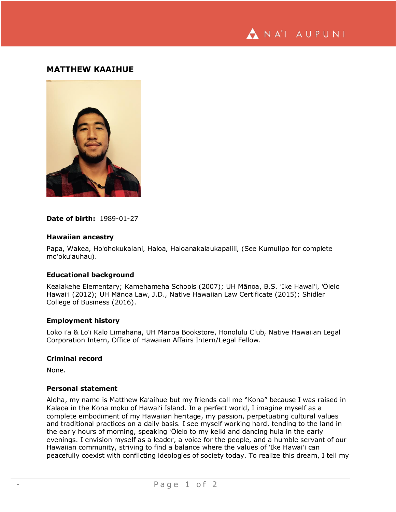NA'I AUPUNI

# **MATTHEW KAAIHUE**



## **Date of birth:** 1989-01-27

## **Hawaiian ancestry**

Papa, Wakea, Hoʻohokukalani, Haloa, Haloanakalaukapalili, (See Kumulipo for complete moʻokuʻauhau).

## **Educational background**

Kealakehe Elementary; Kamehameha Schools (2007); UH Mānoa, B.S. ʻIke Hawaiʻi, ʻŌlelo Hawaiʻi (2012); UH Mānoa Law, J.D., Native Hawaiian Law Certificate (2015); Shidler College of Business (2016).

#### **Employment history**

Loko iʻa & Loʻi Kalo Limahana, UH Mānoa Bookstore, Honolulu Club, Native Hawaiian Legal Corporation Intern, Office of Hawaiian Affairs Intern/Legal Fellow.

#### **Criminal record**

None.

# **Personal statement**

Aloha, my name is Matthew Kaʻaihue but my friends call me "Kona" because I was raised in Kalaoa in the Kona moku of Hawaiʻi Island. In a perfect world, I imagine myself as a complete embodiment of my Hawaiian heritage, my passion, perpetuating cultural values and traditional practices on a daily basis. I see myself working hard, tending to the land in the early hours of morning, speaking ʻŌlelo to my keiki and dancing hula in the early evenings. I envision myself as a leader, a voice for the people, and a humble servant of our Hawaiian community, striving to find a balance where the values of ʻIke Hawaiʻi can peacefully coexist with conflicting ideologies of society today. To realize this dream, I tell my